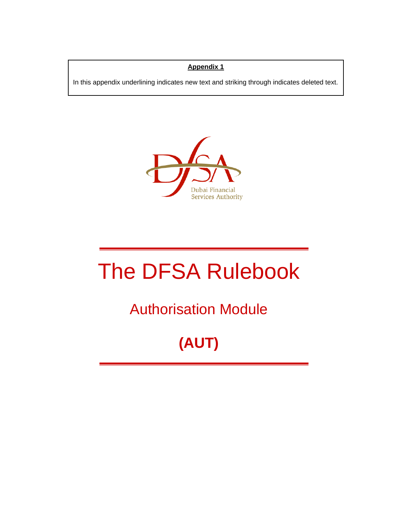# **Appendix 1**

In this appendix underlining indicates new text and striking through indicates deleted text.



# The DFSA Rulebook

# Authorisation Module

# **(AUT)**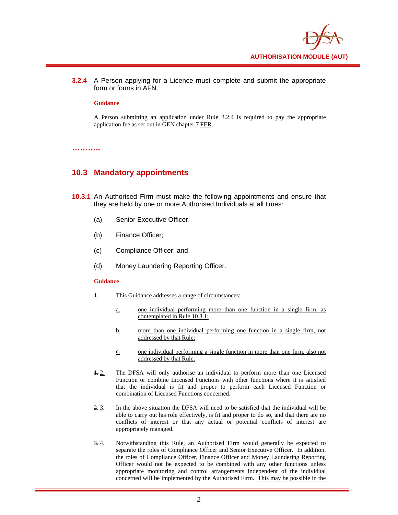

**3.2.4** A Person applying for a Licence must complete and submit the appropriate form or forms in AFN.

#### **Guidance**

A Person submitting an application under Rule 3.2.4 is required to pay the appropriate application fee as set out in GEN chapter 7 FER.

**………..** 

### **10.3 Mandatory appointments**

- **10.3.1** An Authorised Firm must make the following appointments and ensure that they are held by one or more Authorised Individuals at all times:
	- (a) Senior Executive Officer;
	- (b) Finance Officer;
	- (c) Compliance Officer; and
	- (d) Money Laundering Reporting Officer.

#### **Guidance**

- 1. This Guidance addresses a range of circumstances:
	- a. one individual performing more than one function in a single firm, as contemplated in Rule 10.3.1;
	- b. more than one individual performing one function in a single firm, not addressed by that Rule;
	- c. one individual performing a single function in more than one firm, also not addressed by that Rule.
- 1. 2. The DFSA will only authorise an individual to perform more than one Licensed Function or combine Licensed Functions with other functions where it is satisfied that the individual is fit and proper to perform each Licensed Function or combination of Licensed Functions concerned.
- 2. 3. In the above situation the DFSA will need to be satisfied that the individual will be able to carry out his role effectively, is fit and proper to do so, and that there are no conflicts of interest or that any actual or potential conflicts of interest are appropriately managed.
- 3. 4. Notwithstanding this Rule, an Authorised Firm would generally be expected to separate the roles of Compliance Officer and Senior Executive Officer. In addition, the roles of Compliance Officer, Finance Officer and Money Laundering Reporting Officer would not be expected to be combined with any other functions unless appropriate monitoring and control arrangements independent of the individual concerned will be implemented by the Authorised Firm. This may be possible in the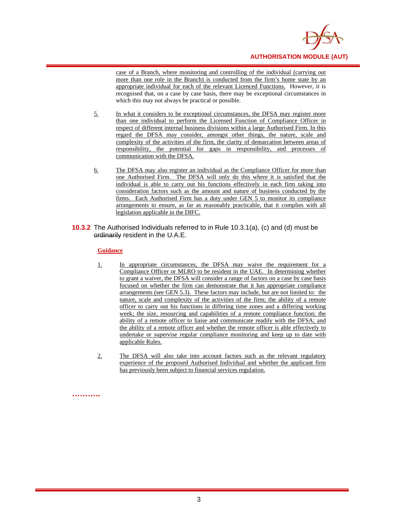

case of a Branch, where monitoring and controlling of the individual (carrying out more than one role in the Branch) is conducted from the firm's home state by an appropriate individual for each of the relevant Licenced Functions. However, it is recognised that, on a case by case basis, there may be exceptional circumstances in which this may not always be practical or possible.

- 5. In what it considers to be exceptional circumstances, the DFSA may register more than one individual to perform the Licensed Function of Compliance Officer in respect of different internal business divisions within a large Authorised Firm. In this regard the DFSA may consider, amongst other things, the nature, scale and complexity of the activities of the firm, the clarity of demarcation between areas of responsibility, the potential for gaps in responsibility, and processes of communication with the DFSA.
- 6. The DFSA may also register an individual as the Compliance Officer for more than one Authorised Firm. The DFSA will only do this where it is satisfied that the individual is able to carry out his functions effectively in each firm taking into consideration factors such as the amount and nature of business conducted by the firms. Each Authorised Firm has a duty under GEN 5 to monitor its compliance arrangements to ensure, as far as reasonably practicable, that it complies with all legislation applicable in the DIFC.
- **10.3.2** The Authorised Individuals referred to in Rule 10.3.1(a), (c) and (d) must be ordinarily resident in the U.A.E.

#### **Guidance**

- 1. In appropriate circumstances, the DFSA may waive the requirement for a Compliance Officer or MLRO to be resident in the UAE. In determining whether to grant a waiver, the DFSA will consider a range of factors on a case by case basis focused on whether the firm can demonstrate that it has appropriate compliance arrangements (see GEN 5.3). These factors may include, but are not limited to: the nature, scale and complexity of the activities of the firm; the ability of a remote officer to carry out his functions in differing time zones and a differing working week; the size, resourcing and capabilities of a remote compliance function; the ability of a remote officer to liaise and communicate readily with the DFSA; and the ability of a remote officer and whether the remote officer is able effectively to undertake or supervise regular compliance monitoring and keep up to date with applicable Rules.
- 2. The DFSA will also take into account factors such as the relevant regulatory experience of the proposed Authorised Individual and whether the applicant firm has previously been subject to financial services regulation.

**………..**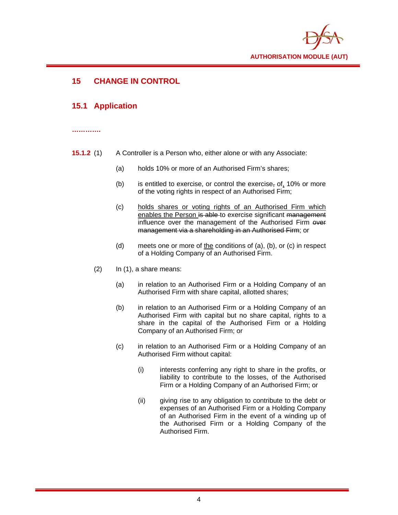

# **15 CHANGE IN CONTROL**

## **15.1 Application**

#### **………….**

- **15.1.2** (1) A Controller is a Person who, either alone or with any Associate:
	- (a) holds 10% or more of an Authorised Firm's shares;
	- (b) is entitled to exercise, or control the exercise, of, 10% or more of the voting rights in respect of an Authorised Firm;
	- (c) holds shares or voting rights of an Authorised Firm which enables the Person is able to exercise significant management influence over the management of the Authorised Firm over management via a shareholding in an Authorised Firm; or
	- (d) meets one or more of the conditions of (a), (b), or (c) in respect of a Holding Company of an Authorised Firm.
	- $(2)$  In  $(1)$ , a share means:
		- (a) in relation to an Authorised Firm or a Holding Company of an Authorised Firm with share capital, allotted shares;
		- (b) in relation to an Authorised Firm or a Holding Company of an Authorised Firm with capital but no share capital, rights to a share in the capital of the Authorised Firm or a Holding Company of an Authorised Firm; or
		- (c) in relation to an Authorised Firm or a Holding Company of an Authorised Firm without capital:
			- (i) interests conferring any right to share in the profits, or liability to contribute to the losses, of the Authorised Firm or a Holding Company of an Authorised Firm; or
			- (ii) giving rise to any obligation to contribute to the debt or expenses of an Authorised Firm or a Holding Company of an Authorised Firm in the event of a winding up of the Authorised Firm or a Holding Company of the Authorised Firm.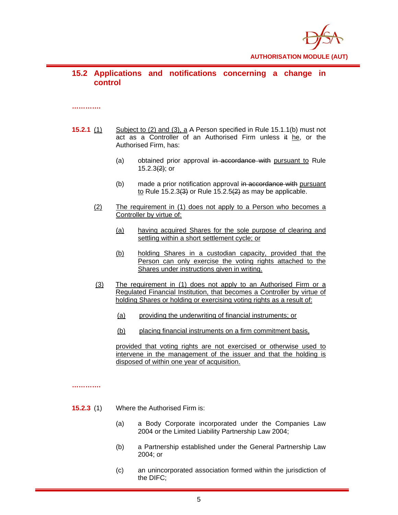

## **15.2 Applications and notifications concerning a change in control**

#### **………….**

- **15.2.1** (1) Subject to (2) and (3), a A Person specified in Rule 15.1.1(b) must not act as a Controller of an Authorised Firm unless it he, or the Authorised Firm, has:
	- (a) obtained prior approval in accordance with pursuant to Rule  $15.2.3(2)$ ; or
	- (b) made a prior notification approval in accordance with pursuant to Rule 15.2.3 $(3)$  or Rule 15.2.5 $(2)$  as may be applicable.
	- (2) The requirement in (1) does not apply to a Person who becomes a Controller by virtue of:
		- (a) having acquired Shares for the sole purpose of clearing and settling within a short settlement cycle; or
		- (b) holding Shares in a custodian capacity, provided that the Person can only exercise the voting rights attached to the Shares under instructions given in writing.
	- (3) The requirement in (1) does not apply to an Authorised Firm or a Regulated Financial Institution, that becomes a Controller by virtue of holding Shares or holding or exercising voting rights as a result of:
		- (a) providing the underwriting of financial instruments; or
		- (b) placing financial instruments on a firm commitment basis,

provided that voting rights are not exercised or otherwise used to intervene in the management of the issuer and that the holding is disposed of within one year of acquisition.

**………….** 

- **15.2.3** (1) Where the Authorised Firm is:
	- (a) a Body Corporate incorporated under the Companies Law 2004 or the Limited Liability Partnership Law 2004;
	- (b) a Partnership established under the General Partnership Law 2004; or
	- (c) an unincorporated association formed within the jurisdiction of the DIFC;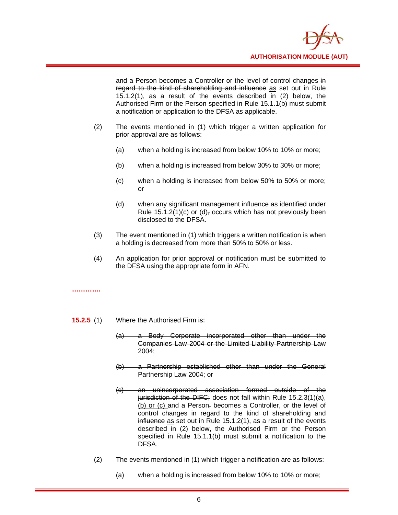

and a Person becomes a Controller or the level of control changes in regard to the kind of shareholding and influence as set out in Rule 15.1.2(1), as a result of the events described in (2) below, the Authorised Firm or the Person specified in Rule 15.1.1(b) must submit a notification or application to the DFSA as applicable.

- (2) The events mentioned in (1) which trigger a written application for prior approval are as follows:
	- (a) when a holding is increased from below 10% to 10% or more;
	- (b) when a holding is increased from below 30% to 30% or more;
	- (c) when a holding is increased from below 50% to 50% or more; or
	- (d) when any significant management influence as identified under Rule  $15.1.2(1)(c)$  or  $(d)$ , occurs which has not previously been disclosed to the DFSA.
- (3) The event mentioned in (1) which triggers a written notification is when a holding is decreased from more than 50% to 50% or less.
- (4) An application for prior approval or notification must be submitted to the DFSA using the appropriate form in AFN.

**………….** 

- **15.2.5** (1) Where the Authorised Firm is:
	- (a) a Body Corporate incorporated other than under the Companies Law 2004 or the Limited Liability Partnership Law 2004;
	- (b) a Partnership established other than under the General Partnership Law 2004; or
	- (c) an unincorporated association formed outside of the jurisdiction of the DIFC; does not fall within Rule 15.2.3(1)(a), (b) or (c) and a Person, becomes a Controller, or the level of control changes in regard to the kind of shareholding and influence as set out in Rule 15.1.2(1), as a result of the events described in (2) below, the Authorised Firm or the Person specified in Rule 15.1.1(b) must submit a notification to the DFSA.
	- (2) The events mentioned in (1) which trigger a notification are as follows:
		- (a) when a holding is increased from below 10% to 10% or more;